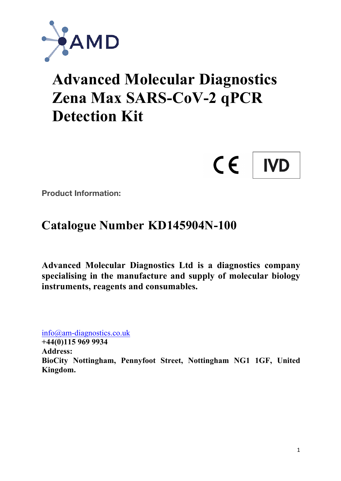

# **Advanced Molecular Diagnostics Zena Max SARS-CoV-2 qPCR Detection Kit**



**Product Information:**

# **Catalogue Number KD145904N-100**

**Advanced Molecular Diagnostics Ltd is a diagnostics company specialising in the manufacture and supply of molecular biology instruments, reagents and consumables.**

info@am-diagnostics.co.uk

**+44(0)115 969 9934 Address: BioCity Nottingham, Pennyfoot Street, Nottingham NG1 1GF, United Kingdom.**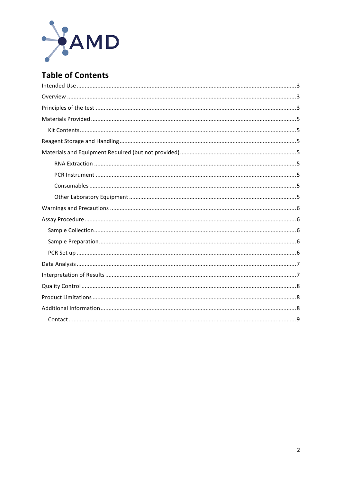

# **Table of Contents**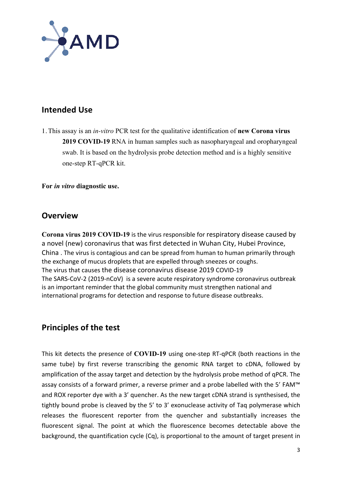

# **Intended Use**

1. This assay is an *in-vitro* PCR test for the qualitative identification of **new Corona virus 2019 COVID-19** RNA in human samples such as nasopharyngeal and oropharyngeal swab. It is based on the hydrolysis probe detection method and is a highly sensitive one-step RT-qPCR kit.

**For** *in vitro* **diagnostic use.**

#### **Overview**

**Corona virus 2019 COVID-19** is the virus responsible for respiratory disease caused by a novel (new) coronavirus that was first detected in Wuhan City, Hubei Province, China . The virus is contagious and can be spread from human to human primarily through the exchange of mucus droplets that are expelled through sneezes or coughs. The virus that causes the disease coronavirus disease 2019 COVID-19 The SARS-CoV-2 (2019-nCoV) is a severe acute respiratory syndrome coronavirus outbreak is an important reminder that the global community must strengthen national and international programs for detection and response to future disease outbreaks.

### **Principles of the test**

This kit detects the presence of COVID-19 using one-step RT-qPCR (both reactions in the same tube) by first reverse transcribing the genomic RNA target to cDNA, followed by amplification of the assay target and detection by the hydrolysis probe method of qPCR. The assay consists of a forward primer, a reverse primer and a probe labelled with the 5' FAM™ and ROX reporter dye with a 3' quencher. As the new target cDNA strand is synthesised, the tightly bound probe is cleaved by the 5' to 3' exonuclease activity of Taq polymerase which releases the fluorescent reporter from the quencher and substantially increases the fluorescent signal. The point at which the fluorescence becomes detectable above the background, the quantification cycle (Cq), is proportional to the amount of target present in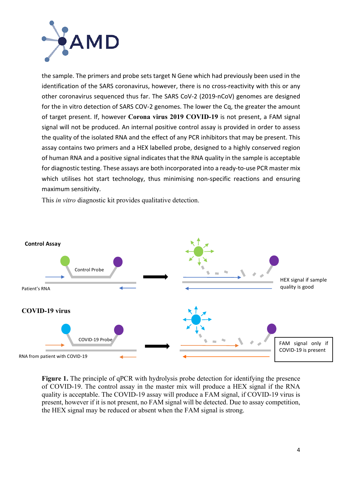

the sample. The primers and probe sets target N Gene which had previously been used in the identification of the SARS coronavirus, however, there is no cross-reactivity with this or any other coronavirus sequenced thus far. The SARS CoV-2 (2019-nCoV) genomes are designed for the in vitro detection of SARS COV-2 genomes. The lower the Cq, the greater the amount of target present. If, however Corona virus 2019 COVID-19 is not present, a FAM signal signal will not be produced. An internal positive control assay is provided in order to assess the quality of the isolated RNA and the effect of any PCR inhibitors that may be present. This assay contains two primers and a HEX labelled probe, designed to a highly conserved region of human RNA and a positive signal indicates that the RNA quality in the sample is acceptable for diagnostic testing. These assays are both incorporated into a ready-to-use PCR master mix which utilises hot start technology, thus minimising non-specific reactions and ensuring maximum sensitivity.

This *in vitro* diagnostic kit provides qualitative detection.



**Figure 1.** The principle of qPCR with hydrolysis probe detection for identifying the presence of COVID-19. The control assay in the master mix will produce a HEX signal if the RNA quality is acceptable. The COVID-19 assay will produce a FAM signal, if COVID-19 virus is present, however if it is not present, no FAM signal will be detected. Due to assay competition, the HEX signal may be reduced or absent when the FAM signal is strong.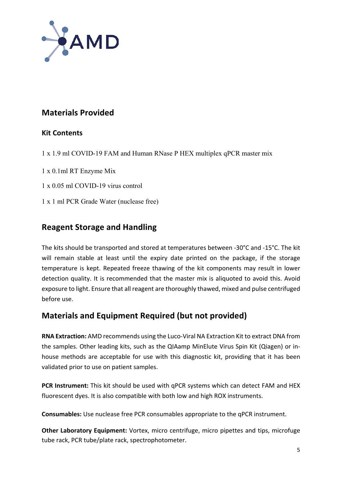

# **Materials Provided**

#### **Kit Contents**

- 1 x 1.9 ml COVID-19 FAM and Human RNase P HEX multiplex qPCR master mix
- 1 x 0.1ml RT Enzyme Mix
- 1 x 0.05 ml COVID-19 virus control
- 1 x 1 ml PCR Grade Water (nuclease free)

# **Reagent Storage and Handling**

The kits should be transported and stored at temperatures between -30°C and -15°C. The kit will remain stable at least until the expiry date printed on the package, if the storage temperature is kept. Repeated freeze thawing of the kit components may result in lower detection quality. It is recommended that the master mix is aliquoted to avoid this. Avoid exposure to light. Ensure that all reagent are thoroughly thawed, mixed and pulse centrifuged before use.

# **Materials and Equipment Required (but not provided)**

**RNA Extraction:** AMD recommends using the Luco-Viral NA Extraction Kit to extract DNA from the samples. Other leading kits, such as the QIAamp MinElute Virus Spin Kit (Qiagen) or inhouse methods are acceptable for use with this diagnostic kit, providing that it has been validated prior to use on patient samples.

**PCR Instrument:** This kit should be used with aPCR systems which can detect FAM and HEX fluorescent dyes. It is also compatible with both low and high ROX instruments.

**Consumables:** Use nuclease free PCR consumables appropriate to the qPCR instrument.

**Other Laboratory Equipment:** Vortex, micro centrifuge, micro pipettes and tips, microfuge tube rack, PCR tube/plate rack, spectrophotometer.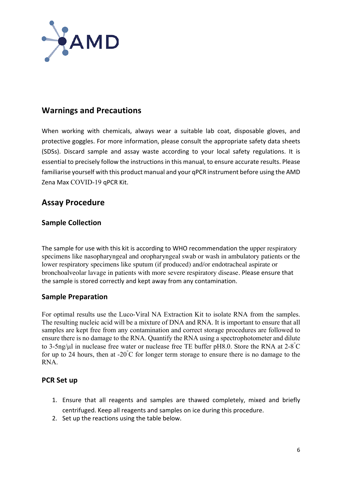

# **Warnings and Precautions**

When working with chemicals, always wear a suitable lab coat, disposable gloves, and protective goggles. For more information, please consult the appropriate safety data sheets (SDSs). Discard sample and assay waste according to your local safety regulations. It is essential to precisely follow the instructions in this manual, to ensure accurate results. Please familiarise yourself with this product manual and your qPCR instrument before using the AMD Zena Max COVID-19 qPCR Kit.

# **Assay Procedure**

#### **Sample Collection**

The sample for use with this kit is according to WHO recommendation the upper respiratory specimens like nasopharyngeal and oropharyngeal swab or wash in ambulatory patients or the lower respiratory specimens like sputum (if produced) and/or endotracheal aspirate or bronchoalveolar lavage in patients with more severe respiratory disease. Please ensure that the sample is stored correctly and kept away from any contamination.

#### **Sample Preparation**

For optimal results use the Luco-Viral NA Extraction Kit to isolate RNA from the samples. The resulting nucleic acid will be a mixture of DNA and RNA. It is important to ensure that all samples are kept free from any contamination and correct storage procedures are followed to ensure there is no damage to the RNA. Quantify the RNA using a spectrophotometer and dilute to 3-5ng/ $\mu$ l in nuclease free water or nuclease free TE buffer pH8.0. Store the RNA at 2-8 $\degree$ C for up to 24 hours, then at  $-20^{\circ}$ C for longer term storage to ensure there is no damage to the RNA.

#### **PCR** Set up

- 1. Ensure that all reagents and samples are thawed completely, mixed and briefly centrifuged. Keep all reagents and samples on ice during this procedure.
- 2. Set up the reactions using the table below.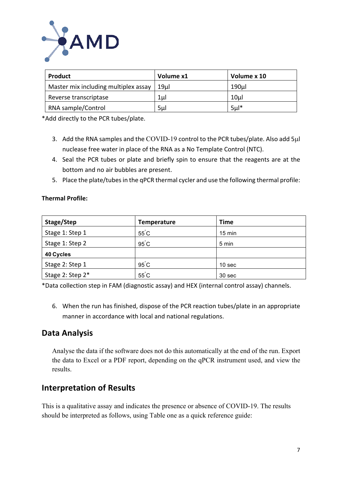

| Product                              | Volume x1       | Volume x 10     |
|--------------------------------------|-----------------|-----------------|
| Master mix including multiplex assay | 19 <sub>µ</sub> | 190µl           |
| Reverse transcriptase                | 1µl             | 10 <sub>µ</sub> |
| RNA sample/Control                   | 5 <sub>µ</sub>  | $5*$            |

\*Add directly to the PCR tubes/plate.

- 3. Add the RNA samples and the COVID-19 control to the PCR tubes/plate. Also add 5µl nuclease free water in place of the RNA as a No Template Control (NTC).
- 4. Seal the PCR tubes or plate and briefly spin to ensure that the reagents are at the bottom and no air bubbles are present.
- 5. Place the plate/tubes in the qPCR thermal cycler and use the following thermal profile:

#### **Thermal Profile:**

| Stage/Step       | <b>Temperature</b> | <b>Time</b>      |
|------------------|--------------------|------------------|
| Stage 1: Step 1  | $55^{\circ}$ C     | $15 \text{ min}$ |
| Stage 1: Step 2  | $95^{\circ}$ C     | 5 min            |
| 40 Cycles        |                    |                  |
| Stage 2: Step 1  | $95^{\circ}$ C     | 10 sec           |
| Stage 2: Step 2* | $55^{\circ}$ C     | 30 sec           |

\*Data collection step in FAM (diagnostic assay) and HEX (internal control assay) channels.

6. When the run has finished, dispose of the PCR reaction tubes/plate in an appropriate manner in accordance with local and national regulations.

# **Data Analysis**

Analyse the data if the software does not do this automatically at the end of the run. Export the data to Excel or a PDF report, depending on the qPCR instrument used, and view the results.

# **Interpretation of Results**

This is a qualitative assay and indicates the presence or absence of COVID-19. The results should be interpreted as follows, using Table one as a quick reference guide: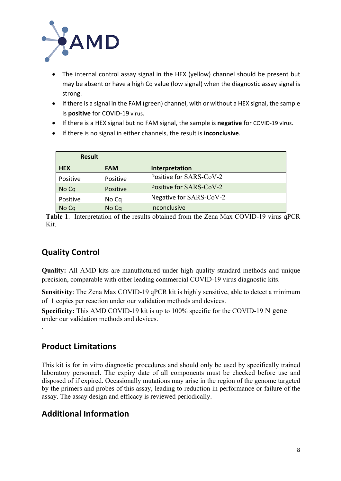

- The internal control assay signal in the HEX (yellow) channel should be present but may be absent or have a high Cq value (low signal) when the diagnostic assay signal is strong.
- If there is a signal in the FAM (green) channel, with or without a HEX signal, the sample is **positive** for COVID-19 virus.
- If there is a HEX signal but no FAM signal, the sample is **negative** for COVID-19 virus.
- If there is no signal in either channels, the result is **inconclusive**.

| <b>Result</b> |            |                         |
|---------------|------------|-------------------------|
| <b>HEX</b>    | <b>FAM</b> | Interpretation          |
| Positive      | Positive   | Positive for SARS-CoV-2 |
| No Cq         | Positive   | Positive for SARS-CoV-2 |
| Positive      | No Cq      | Negative for SARS-CoV-2 |
| No Cq         | No Cq      | Inconclusive            |

**Table 1**. Interpretation of the results obtained from the Zena Max COVID-19 virus qPCR Kit.

# **Quality Control**

**Quality:** All AMD kits are manufactured under high quality standard methods and unique precision, comparable with other leading commercial COVID-19 virus diagnostic kits.

**Sensitivity**: The Zena Max COVID-19 qPCR kit is highly sensitive, able to detect a minimum of 1 copies per reaction under our validation methods and devices.

**Specificity:** This AMD COVID-19 kit is up to 100% specific for the COVID-19 N gene under our validation methods and devices.

# **Product Limitations**

.

This kit is for in vitro diagnostic procedures and should only be used by specifically trained laboratory personnel. The expiry date of all components must be checked before use and disposed of if expired. Occasionally mutations may arise in the region of the genome targeted by the primers and probes of this assay, leading to reduction in performance or failure of the assay. The assay design and efficacy is reviewed periodically.

# **Additional Information**